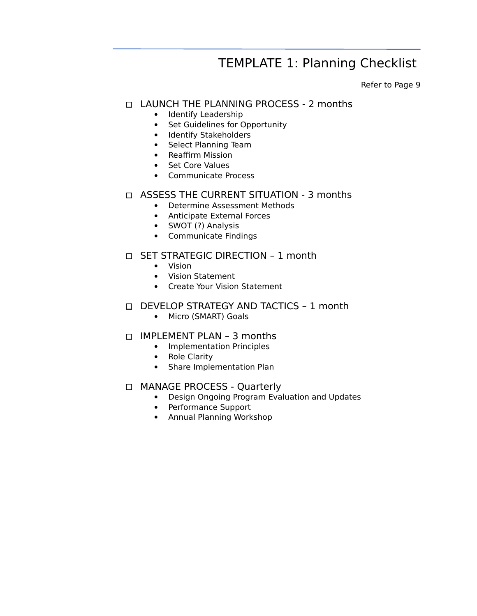# TEMPLATE 1: Planning Checklist

Refer to Page 9

### LAUNCH THE PLANNING PROCESS - 2 months

- Identify Leadership
- Set Guidelines for Opportunity
- Identify Stakeholders
- Select Planning Team
- Reaffirm Mission
- Set Core Values
- Communicate Process

#### □ ASSESS THE CURRENT SITUATION - 3 months

- Determine Assessment Methods
- Anticipate External Forces
- SWOT (?) Analysis
- Communicate Findings

#### □ SET STRATEGIC DIRECTION - 1 month

- Vision
- Vision Statement
- Create Your Vision Statement

#### D DEVELOP STRATEGY AND TACTICS - 1 month

• Micro (SMART) Goals

#### $\Box$  IMPLEMENT PLAN - 3 months

- Implementation Principles
- Role Clarity
- Share Implementation Plan

#### □ MANAGE PROCESS - Quarterly

- Design Ongoing Program Evaluation and Updates
- Performance Support
- Annual Planning Workshop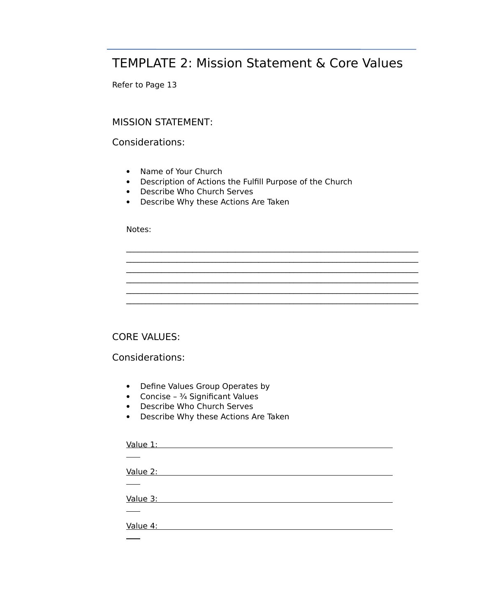## TEMPLATE 2: Mission Statement & Core Values

Refer to Page 13

#### MISSION STATEMENT:

Considerations:

- Name of Your Church
- Description of Actions the Fulfill Purpose of the Church

 $\mathcal{L}_\mathcal{L} = \{ \mathcal{L}_\mathcal{L} = \{ \mathcal{L}_\mathcal{L} = \{ \mathcal{L}_\mathcal{L} = \{ \mathcal{L}_\mathcal{L} = \{ \mathcal{L}_\mathcal{L} = \{ \mathcal{L}_\mathcal{L} = \{ \mathcal{L}_\mathcal{L} = \{ \mathcal{L}_\mathcal{L} = \{ \mathcal{L}_\mathcal{L} = \{ \mathcal{L}_\mathcal{L} = \{ \mathcal{L}_\mathcal{L} = \{ \mathcal{L}_\mathcal{L} = \{ \mathcal{L}_\mathcal{L} = \{ \mathcal{L}_\mathcal{$  $\mathcal{L}_\mathcal{L} = \{ \mathcal{L}_\mathcal{L} = \{ \mathcal{L}_\mathcal{L} = \{ \mathcal{L}_\mathcal{L} = \{ \mathcal{L}_\mathcal{L} = \{ \mathcal{L}_\mathcal{L} = \{ \mathcal{L}_\mathcal{L} = \{ \mathcal{L}_\mathcal{L} = \{ \mathcal{L}_\mathcal{L} = \{ \mathcal{L}_\mathcal{L} = \{ \mathcal{L}_\mathcal{L} = \{ \mathcal{L}_\mathcal{L} = \{ \mathcal{L}_\mathcal{L} = \{ \mathcal{L}_\mathcal{L} = \{ \mathcal{L}_\mathcal{$  $\mathcal{L}_\mathcal{L} = \{ \mathcal{L}_\mathcal{L} = \{ \mathcal{L}_\mathcal{L} = \{ \mathcal{L}_\mathcal{L} = \{ \mathcal{L}_\mathcal{L} = \{ \mathcal{L}_\mathcal{L} = \{ \mathcal{L}_\mathcal{L} = \{ \mathcal{L}_\mathcal{L} = \{ \mathcal{L}_\mathcal{L} = \{ \mathcal{L}_\mathcal{L} = \{ \mathcal{L}_\mathcal{L} = \{ \mathcal{L}_\mathcal{L} = \{ \mathcal{L}_\mathcal{L} = \{ \mathcal{L}_\mathcal{L} = \{ \mathcal{L}_\mathcal{$ 

- Describe Who Church Serves
- Describe Why these Actions Are Taken

#### Notes:

### CORE VALUES:

Considerations:

- Define Values Group Operates by
- Concise  $\frac{3}{4}$  Significant Values
- Describe Who Church Serves
- Describe Why these Actions Are Taken

 Value 1:  $\overline{a}$  Value 2:  $\overline{a}$  Value 3:  $\sim$  Value 4:  $\overline{a}$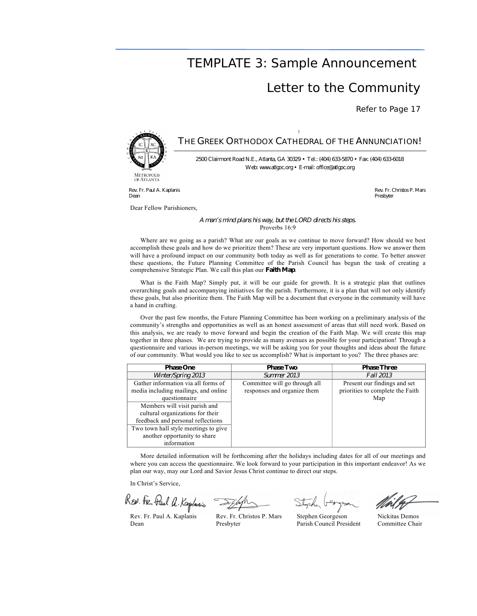### TEMPLATE 3: Sample Announcement

### Letter to the Community

Refer to Page 17



OF ATLANTA

#### ! THE GREEK ORTHODOX CATHEDRAL OF THE ANNUNCIATION!

2500 Clairmont Road N.E., Atlanta, GA 30329 • Tel.: (404) 633-5870 • Fax: (404) 633-6018 Web: www.atlgoc.org • E-mail: office@atlgoc.org

Rev. Fr. Paul A. Kaplanis Dean

Dear Fellow Parishioners,

Rev. Fr. Christos P. Mars **Presbyter** 

#### A man's mind plans his way, but the LORD directs his steps. Proverbs 16:9

Where are we going as a parish? What are our goals as we continue to move forward? How should we best accomplish these goals and how do we prioritize them? These are very important questions. How we answer them will have a profound impact on our community both today as well as for generations to come. To better answer these questions, the Future Planning Committee of the Parish Council has begun the task of creating a comprehensive Strategic Plan. We call this plan our Faith Map.

What is the Faith Map? Simply put, it will be our guide for growth. It is a strategic plan that outlines overarching goals and accompanying initiatives for the parish. Furthermore, it is a plan that will not only identify these goals, but also prioritize them. The Faith Map will be a document that everyone in the community will have a hand in crafting.

Over the past few months, the Future Planning Committee has been working on a preliminary analysis of the community's strengths and opportunities as well as an honest assessment of areas that still need work. Based on this analysis, we are ready to move forward and begin the creation of the Faith Map. We will create this map together in three phases. We are trying to provide as many avenues as possible for your participation! Through a questionnaire and various in-person meetings, we will be asking you for your thoughts and ideas about the future of our community. What would you like to see us accomplish? What is important to you? The three phases are:

| <b>Phase One</b>                     | <b>Phase Two</b>              | <b>Phase Three</b>               |
|--------------------------------------|-------------------------------|----------------------------------|
| Winter/Spring 2013                   | <b>Summer 2013</b>            | <b>Fall 2013</b>                 |
| Gather information via all forms of  | Committee will go through all | Present our findings and set     |
| media including mailings, and online | responses and organize them   | priorities to complete the Faith |
| questionnaire                        |                               | Map                              |
| Members will visit parish and        |                               |                                  |
| cultural organizations for their     |                               |                                  |
| feedback and personal reflections    |                               |                                  |
| Two town hall style meetings to give |                               |                                  |
| another opportunity to share         |                               |                                  |
| information                          |                               |                                  |

More detailed information will be forthcoming after the holidays including dates for all of our meetings and where you can access the questionnaire. We look forward to your participation in this important endeavor! As we plan our way, may our Lord and Savior Jesus Christ continue to direct our steps.

In Christ's Service,

REN. Fre Paul A. Kaplanis

Rev. Fr. Paul A. Kaplanis Rev. Fr. Christos P. Mars Stephen Georgeson Nickitas Demos Dean Presbyter Parish Council President Committee Chair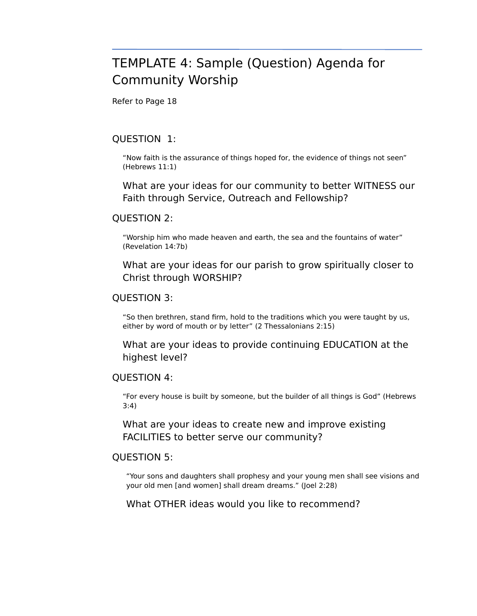# TEMPLATE 4: Sample (Question) Agenda for Community Worship

Refer to Page 18

#### QUESTION 1:

"Now faith is the assurance of things hoped for, the evidence of things not seen" (Hebrews 11:1)

What are your ideas for our community to better WITNESS our Faith through Service, Outreach and Fellowship?

#### QUESTION 2:

"Worship him who made heaven and earth, the sea and the fountains of water" (Revelation 14:7b)

What are your ideas for our parish to grow spiritually closer to Christ through WORSHIP?

#### QUESTION 3:

"So then brethren, stand firm, hold to the traditions which you were taught by us, either by word of mouth or by letter" (2 Thessalonians 2:15)

What are your ideas to provide continuing EDUCATION at the highest level?

#### QUESTION 4:

"For every house is built by someone, but the builder of all things is God" (Hebrews 3:4)

What are your ideas to create new and improve existing FACILITIES to better serve our community?

#### QUESTION 5:

"Your sons and daughters shall prophesy and your young men shall see visions and your old men [and women] shall dream dreams." (Joel 2:28)

What OTHER ideas would you like to recommend?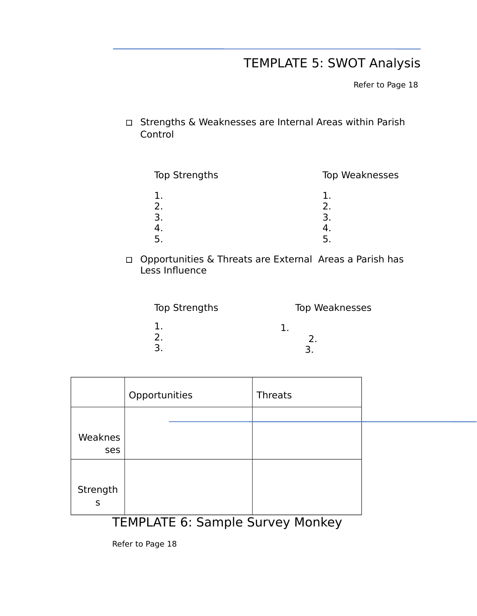# TEMPLATE 5: SWOT Analysis

Refer to Page 18

Strengths & Weaknesses are Internal Areas within Parish Control

| Top Strengths | Top Weaknesses |
|---------------|----------------|
| 2.            | 2.             |
|               | 3              |
|               |                |
|               |                |

Opportunities & Threats are External Areas a Parish has Less Influence

| Top Strengths | Top Weaknesses |
|---------------|----------------|
| ∍             |                |

|  | $TENINI$ ATF $C_{1}$ $C_{2}$ is a $I_{2}$ $C_{1}$ is $I_{3}$ . Me is $I_{4}$ . |
|--|--------------------------------------------------------------------------------|

### TEMPLATE 6: Sample Survey Monkey

Refer to Page 18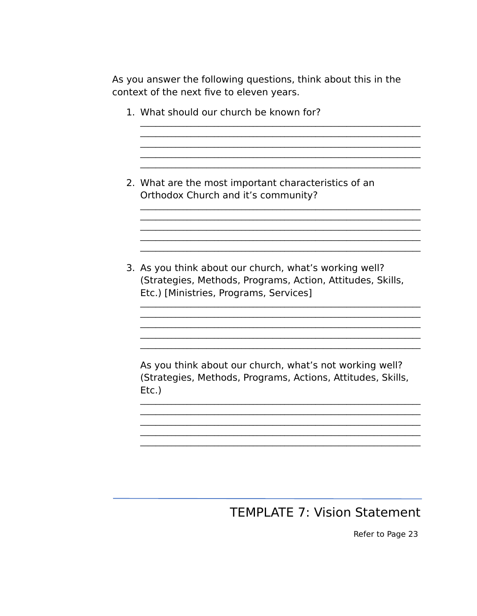As you answer the following questions, think about this in the context of the next five to eleven years.

<u> 1989 - Johann Barn, mars eta bat erroman erroman erroman erroman erroman erroman erroman erroman erroman err</u>

- 1. What should our church be known for?
- 2. What are the most important characteristics of an Orthodox Church and it's community?
- 3. As you think about our church, what's working well? (Strategies, Methods, Programs, Action, Attitudes, Skills, Etc.) [Ministries, Programs, Services]

As you think about our church, what's not working well? (Strategies, Methods, Programs, Actions, Attitudes, Skills,  $EtC.$ )

## **TEMPLATE 7: Vision Statement**

Refer to Page 23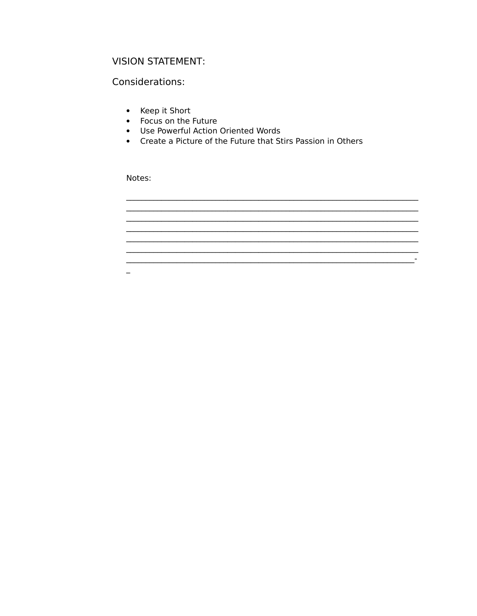### **VISION STATEMENT:**

#### Considerations:

- Keep it Short
- Focus on the Future
- Use Powerful Action Oriented Words
- Create a Picture of the Future that Stirs Passion in Others

<u> 1989 - Johann Stein, mars an deus an deus Amerikaansk kommunister (</u>

Notes:

 $\equiv$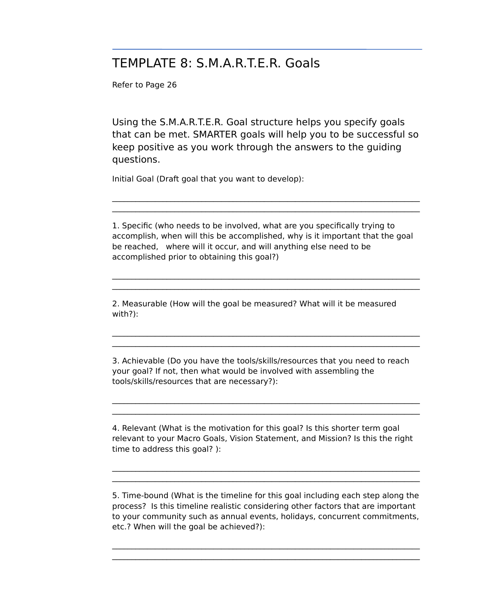## TEMPLATE 8: S.M.A.R.T.E.R. Goals

Refer to Page 26

Using the S.M.A.R.T.E.R. Goal structure helps you specify goals that can be met. SMARTER goals will help you to be successful so keep positive as you work through the answers to the guiding questions.

Initial Goal (Draft goal that you want to develop):

1. Specific (who needs to be involved, what are you specifically trying to accomplish, when will this be accomplished, why is it important that the goal be reached, where will it occur, and will anything else need to be accomplished prior to obtaining this goal?)

 $\mathcal{L}_\mathcal{L} = \{ \mathcal{L}_\mathcal{L} = \{ \mathcal{L}_\mathcal{L} = \{ \mathcal{L}_\mathcal{L} = \{ \mathcal{L}_\mathcal{L} = \{ \mathcal{L}_\mathcal{L} = \{ \mathcal{L}_\mathcal{L} = \{ \mathcal{L}_\mathcal{L} = \{ \mathcal{L}_\mathcal{L} = \{ \mathcal{L}_\mathcal{L} = \{ \mathcal{L}_\mathcal{L} = \{ \mathcal{L}_\mathcal{L} = \{ \mathcal{L}_\mathcal{L} = \{ \mathcal{L}_\mathcal{L} = \{ \mathcal{L}_\mathcal{$  $\mathcal{L}_\mathcal{L} = \{ \mathcal{L}_\mathcal{L} = \{ \mathcal{L}_\mathcal{L} = \{ \mathcal{L}_\mathcal{L} = \{ \mathcal{L}_\mathcal{L} = \{ \mathcal{L}_\mathcal{L} = \{ \mathcal{L}_\mathcal{L} = \{ \mathcal{L}_\mathcal{L} = \{ \mathcal{L}_\mathcal{L} = \{ \mathcal{L}_\mathcal{L} = \{ \mathcal{L}_\mathcal{L} = \{ \mathcal{L}_\mathcal{L} = \{ \mathcal{L}_\mathcal{L} = \{ \mathcal{L}_\mathcal{L} = \{ \mathcal{L}_\mathcal{$ 

 $\mathcal{L}_\text{max}$  $\mathcal{L}_\mathcal{L} = \{ \mathcal{L}_\mathcal{L} = \{ \mathcal{L}_\mathcal{L} = \{ \mathcal{L}_\mathcal{L} = \{ \mathcal{L}_\mathcal{L} = \{ \mathcal{L}_\mathcal{L} = \{ \mathcal{L}_\mathcal{L} = \{ \mathcal{L}_\mathcal{L} = \{ \mathcal{L}_\mathcal{L} = \{ \mathcal{L}_\mathcal{L} = \{ \mathcal{L}_\mathcal{L} = \{ \mathcal{L}_\mathcal{L} = \{ \mathcal{L}_\mathcal{L} = \{ \mathcal{L}_\mathcal{L} = \{ \mathcal{L}_\mathcal{$ 

 $\mathcal{L}_\mathcal{L} = \{ \mathcal{L}_\mathcal{L} = \{ \mathcal{L}_\mathcal{L} = \{ \mathcal{L}_\mathcal{L} = \{ \mathcal{L}_\mathcal{L} = \{ \mathcal{L}_\mathcal{L} = \{ \mathcal{L}_\mathcal{L} = \{ \mathcal{L}_\mathcal{L} = \{ \mathcal{L}_\mathcal{L} = \{ \mathcal{L}_\mathcal{L} = \{ \mathcal{L}_\mathcal{L} = \{ \mathcal{L}_\mathcal{L} = \{ \mathcal{L}_\mathcal{L} = \{ \mathcal{L}_\mathcal{L} = \{ \mathcal{L}_\mathcal{$ 

2. Measurable (How will the goal be measured? What will it be measured with?):

3. Achievable (Do you have the tools/skills/resources that you need to reach your goal? If not, then what would be involved with assembling the tools/skills/resources that are necessary?):

 $\mathcal{L}_\mathcal{L} = \{ \mathcal{L}_\mathcal{L} = \{ \mathcal{L}_\mathcal{L} = \{ \mathcal{L}_\mathcal{L} = \{ \mathcal{L}_\mathcal{L} = \{ \mathcal{L}_\mathcal{L} = \{ \mathcal{L}_\mathcal{L} = \{ \mathcal{L}_\mathcal{L} = \{ \mathcal{L}_\mathcal{L} = \{ \mathcal{L}_\mathcal{L} = \{ \mathcal{L}_\mathcal{L} = \{ \mathcal{L}_\mathcal{L} = \{ \mathcal{L}_\mathcal{L} = \{ \mathcal{L}_\mathcal{L} = \{ \mathcal{L}_\mathcal{$ 

4. Relevant (What is the motivation for this goal? Is this shorter term goal relevant to your Macro Goals, Vision Statement, and Mission? Is this the right time to address this goal? ):

5. Time-bound (What is the timeline for this goal including each step along the process? Is this timeline realistic considering other factors that are important to your community such as annual events, holidays, concurrent commitments, etc.? When will the goal be achieved?):

 $\mathcal{L}_\mathcal{L} = \{ \mathcal{L}_\mathcal{L} = \{ \mathcal{L}_\mathcal{L} = \{ \mathcal{L}_\mathcal{L} = \{ \mathcal{L}_\mathcal{L} = \{ \mathcal{L}_\mathcal{L} = \{ \mathcal{L}_\mathcal{L} = \{ \mathcal{L}_\mathcal{L} = \{ \mathcal{L}_\mathcal{L} = \{ \mathcal{L}_\mathcal{L} = \{ \mathcal{L}_\mathcal{L} = \{ \mathcal{L}_\mathcal{L} = \{ \mathcal{L}_\mathcal{L} = \{ \mathcal{L}_\mathcal{L} = \{ \mathcal{L}_\mathcal{$ 

 $\mathcal{L}_\mathcal{L} = \{ \mathcal{L}_\mathcal{L} = \{ \mathcal{L}_\mathcal{L} = \{ \mathcal{L}_\mathcal{L} = \{ \mathcal{L}_\mathcal{L} = \{ \mathcal{L}_\mathcal{L} = \{ \mathcal{L}_\mathcal{L} = \{ \mathcal{L}_\mathcal{L} = \{ \mathcal{L}_\mathcal{L} = \{ \mathcal{L}_\mathcal{L} = \{ \mathcal{L}_\mathcal{L} = \{ \mathcal{L}_\mathcal{L} = \{ \mathcal{L}_\mathcal{L} = \{ \mathcal{L}_\mathcal{L} = \{ \mathcal{L}_\mathcal{$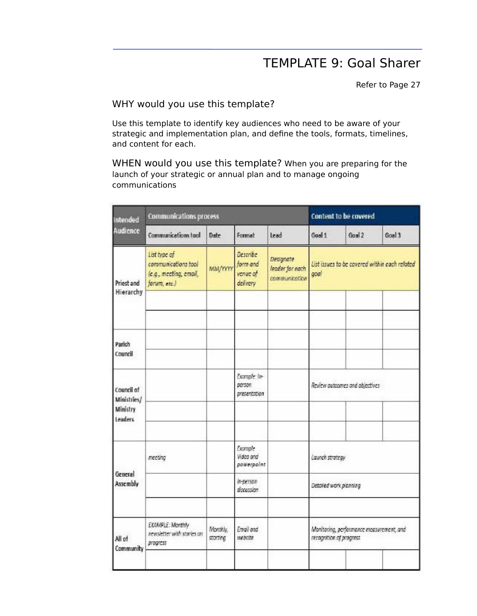# TEMPLATE 9: Goal Sharer

Refer to Page 27

### WHY would you use this template?

Use this template to identify key audiences who need to be aware of your strategic and implementation plan, and define the tools, formats, timelines, and content for each.

WHEN would you use this template? When you are preparing for the launch of your strategic or annual plan and to manage ongoing communications

| Intended<br><b>Audience</b>                      | Communications process                                                        |                      |                                              | Content to be covered                         |                                                                     |        |        |
|--------------------------------------------------|-------------------------------------------------------------------------------|----------------------|----------------------------------------------|-----------------------------------------------|---------------------------------------------------------------------|--------|--------|
|                                                  | <b>Communications tool</b>                                                    | Date                 | Format                                       | <b>Lead</b>                                   | Goal 1                                                              | Goal 2 | Goal 3 |
| Priest and                                       | List type of<br>communications tool<br>(e.g., meeting, email,<br>forum, etc.) | <b>MM/YYYY</b>       | Describe<br>form and<br>venue of<br>delivery | Designate<br>leader for each<br>communication | List issues to be covered within each related<br>goal               |        |        |
| Hierarchy                                        |                                                                               |                      |                                              |                                               |                                                                     |        |        |
| Parish<br>Council                                |                                                                               |                      |                                              |                                               |                                                                     |        |        |
| Council of<br>Ministries/<br>Ministry<br>Leaders |                                                                               |                      | Example: In-<br>person<br>presentation       |                                               | Review autoanes and abjectives                                      |        |        |
|                                                  |                                                                               |                      | Example                                      |                                               |                                                                     |        |        |
| General<br>Assembly                              | meeting                                                                       |                      | Video and<br>powerpoint                      |                                               | Launch strategy                                                     |        |        |
|                                                  |                                                                               |                      | in-person<br>discussion                      |                                               | Detailed work planning                                              |        |        |
| All of<br>Community                              | EXAMPLE: Monthly<br>newsletter with staries on<br>progress                    | Monthly,<br>storting | Email and<br>website                         |                                               | Maritoring, performance measurement, and<br>recognition of progress |        |        |
|                                                  |                                                                               |                      |                                              |                                               |                                                                     |        |        |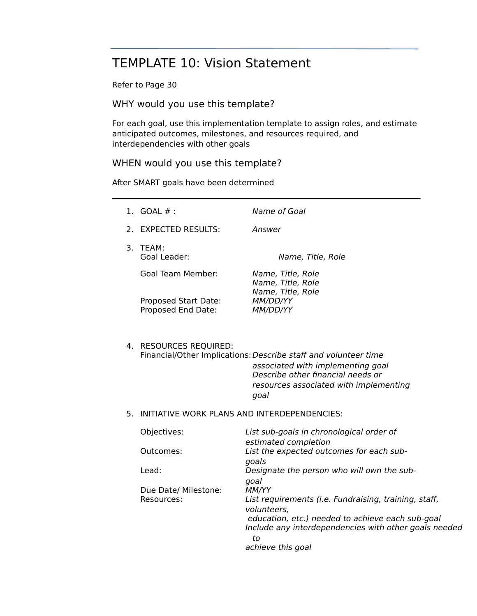# TEMPLATE 10: Vision Statement

Refer to Page 30

WHY would you use this template?

For each goal, use this implementation template to assign roles, and estimate anticipated outcomes, milestones, and resources required, and interdependencies with other goals

#### WHEN would you use this template?

After SMART goals have been determined

|    | 1. $GOAL #:$                                 | Name of Goal                                                                                                                                                                                                                  |  |  |  |
|----|----------------------------------------------|-------------------------------------------------------------------------------------------------------------------------------------------------------------------------------------------------------------------------------|--|--|--|
|    | 2. EXPECTED RESULTS:                         | Answer                                                                                                                                                                                                                        |  |  |  |
|    | 3. TEAM:<br>Goal Leader:                     | Name, Title, Role                                                                                                                                                                                                             |  |  |  |
|    | <b>Goal Team Member:</b>                     | Name, Title, Role<br>Name, Title, Role<br>Name, Title, Role                                                                                                                                                                   |  |  |  |
|    | Proposed Start Date:<br>Proposed End Date:   | MM/DD/YY<br>MM/DD/YY                                                                                                                                                                                                          |  |  |  |
|    | 4. RESOURCES REQUIRED:                       | Financial/Other Implications: Describe staff and volunteer time<br>associated with implementing goal<br>Describe other financial needs or<br>resources associated with implementing<br>goal                                   |  |  |  |
| 5. | INITIATIVE WORK PLANS AND INTERDEPENDENCIES: |                                                                                                                                                                                                                               |  |  |  |
|    | Objectives:                                  | List sub-goals in chronological order of                                                                                                                                                                                      |  |  |  |
|    | Outcomes:                                    | estimated completion<br>List the expected outcomes for each sub-<br>goals                                                                                                                                                     |  |  |  |
|    | Lead:                                        | Designate the person who will own the sub-                                                                                                                                                                                    |  |  |  |
|    | Due Date/ Milestone:<br>Resources:           | goal<br>MM/YY<br>List requirements (i.e. Fundraising, training, staff,<br>volunteers,<br>education, etc.) needed to achieve each sub-goal<br>Include any interdependencies with other goals needed<br>to<br>achieve this goal |  |  |  |